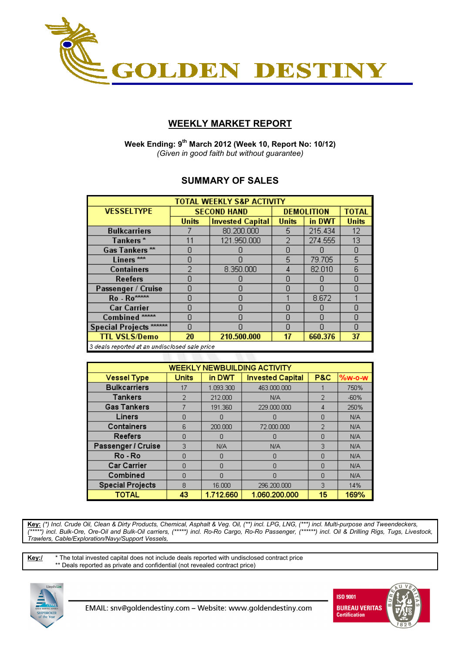

# **WEEKLY MARKET REPORT**

 **Week Ending: 9th March 2012 (Week 10, Report No: 10/12)**  *(Given in good faith but without guarantee)* 

## **SUMMARY OF SALES**

| <b>TOTAL WEEKLY S&amp;P ACTIVITY</b>                |              |                         |              |                   |              |  |  |  |
|-----------------------------------------------------|--------------|-------------------------|--------------|-------------------|--------------|--|--|--|
| <b>VESSELTYPE</b>                                   |              | <b>SECOND HAND</b>      |              | <b>DEMOLITION</b> | <b>TOTAL</b> |  |  |  |
|                                                     | <b>Units</b> | <b>Invested Capital</b> | <b>Units</b> | in DWT            | <b>Units</b> |  |  |  |
| <b>Bulkcarriers</b>                                 |              | 80.200.000              | 5.           | 215.434           | 12           |  |  |  |
| Tankers*                                            | 11           | 121.950.000             | 2            | 274.555           | 13           |  |  |  |
| Gas Tankers**                                       |              |                         | n            |                   | Ω            |  |  |  |
| Liners <sup>***</sup>                               | Π            |                         | 5            | 79.705            | 5            |  |  |  |
| <b>Containers</b>                                   |              | 8.350.000               | 4            | 82.010            | 6            |  |  |  |
| Reefers                                             |              |                         | Π            |                   | Ω            |  |  |  |
| Passenger / Cruise                                  | П            |                         | n            |                   | N            |  |  |  |
| Ro - Ro****                                         | n            | Π                       |              | 8.672             |              |  |  |  |
| <b>Car Carrier</b>                                  | n            | Π<br>Π                  |              |                   | n            |  |  |  |
| Combined <sup>*****</sup>                           | П            |                         | Π            |                   | n            |  |  |  |
| Special Projects ******                             | N            |                         | Ω            |                   | Ω            |  |  |  |
| <b>TTL VSLS/Demo</b>                                | 20           | 210.500.000             | 17           | 660.376           | 37           |  |  |  |
| $\Box$ deals reported at an undisclosed sale price. |              |                         |              |                   |              |  |  |  |

| <b>WEEKLY NEWBUILDING ACTIVITY</b> |              |           |                         |                |          |  |  |  |  |
|------------------------------------|--------------|-----------|-------------------------|----------------|----------|--|--|--|--|
| <b>Vessel Type</b>                 | <b>Units</b> | in DWT    | <b>Invested Capital</b> | <b>P&amp;C</b> | $%w-o-W$ |  |  |  |  |
| <b>Bulkcarriers</b>                | 17           | 1.093.300 | 463.000.000             |                | 750%     |  |  |  |  |
| <b>Tankers</b>                     | 2            | 212.000   | N/A                     | 2              | $-60%$   |  |  |  |  |
| <b>Gas Tankers</b>                 |              | 191.360   | 229,000,000             | 4              | 250%     |  |  |  |  |
| Liners                             | Π            | n         | n                       | n              | N/A      |  |  |  |  |
| Containers                         | ĥ            | 200,000   | 72.000.000              | 2              | N/A      |  |  |  |  |
| <b>Reefers</b>                     | n            | n         | n                       | n              | N/A      |  |  |  |  |
| Passenger / Cruise                 | З            | N/A       | N/A                     | 3              | N/A      |  |  |  |  |
| Ro - Ro                            |              | Ω         | 0                       | n              | N/A      |  |  |  |  |
| <b>Car Carrier</b>                 | Π            | Ω         | Π                       | Π              | N/A      |  |  |  |  |
| Combined                           | n            | Ω         | n                       | n              | N/A      |  |  |  |  |
| <b>Special Projects</b>            | 8            | 16,000    | 296.200.000             | З              | 14%      |  |  |  |  |
| TOTAL                              | 43           | 1.712.660 | 1.060.200.000           | 15             | 169%     |  |  |  |  |

**Key:** *(\*) Incl. Crude Oil, Clean & Dirty Products, Chemical, Asphalt & Veg. Oil, (\*\*) incl. LPG, LNG, (\*\*\*) incl. Multi-purpose and Tweendeckers, (\*\*\*\*\*) incl. Bulk-Ore, Ore-Oil and Bulk-Oil carriers, (\*\*\*\*\*) incl. Ro-Ro Cargo, Ro-Ro Passenger, (\*\*\*\*\*\*) incl. Oil & Drilling Rigs, Tugs, Livestock, Trawlers, Cable/Exploration/Navy/Support Vessels,* 

**Key:/** \* The total invested capital does not include deals reported with undisclosed contract price \*\* Deals reported as private and confidential (not revealed contract price)



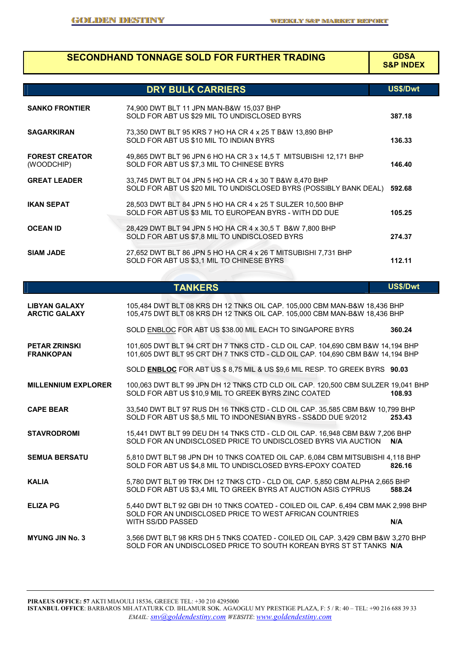|                                              | <b>SECONDHAND TONNAGE SOLD FOR FURTHER TRADING</b>                                                                                                                         | <b>GDSA</b><br><b>S&amp;P INDEX</b> |
|----------------------------------------------|----------------------------------------------------------------------------------------------------------------------------------------------------------------------------|-------------------------------------|
|                                              | <b>DRY BULK CARRIERS</b>                                                                                                                                                   | US\$/Dwt                            |
| <b>SANKO FRONTIER</b>                        | 74,900 DWT BLT 11 JPN MAN-B&W 15,037 BHP<br>SOLD FOR ABT US \$29 MIL TO UNDISCLOSED BYRS                                                                                   | 387.18                              |
| <b>SAGARKIRAN</b>                            | 73,350 DWT BLT 95 KRS 7 HO HA CR 4 x 25 T B&W 13,890 BHP<br>SOLD FOR ABT US \$10 MIL TO INDIAN BYRS                                                                        | 136.33                              |
| <b>FOREST CREATOR</b><br>(WOODCHIP)          | 49,865 DWT BLT 96 JPN 6 HO HA CR 3 x 14,5 T MITSUBISHI 12,171 BHP<br>SOLD FOR ABT US \$7,3 MIL TO CHINESE BYRS                                                             | 146.40                              |
| <b>GREAT LEADER</b>                          | 33,745 DWT BLT 04 JPN 5 HO HA CR 4 x 30 T B&W 8,470 BHP<br>SOLD FOR ABT US \$20 MIL TO UNDISCLOSED BYRS (POSSIBLY BANK DEAL)                                               | 592.68                              |
| <b>IKAN SEPAT</b>                            | 28,503 DWT BLT 84 JPN 5 HO HA CR 4 x 25 T SULZER 10,500 BHP<br>SOLD FOR ABT US \$3 MIL TO EUROPEAN BYRS - WITH DD DUE                                                      | 105.25                              |
| <b>OCEAN ID</b>                              | 28,429 DWT BLT 94 JPN 5 HO HA CR 4 x 30,5 T B&W 7,800 BHP<br>SOLD FOR ABT US \$7,8 MIL TO UNDISCLOSED BYRS                                                                 | 274.37                              |
| <b>SIAM JADE</b>                             | 27,652 DWT BLT 86 JPN 5 HO HA CR 4 x 26 T MITSUBISHI 7,731 BHP<br>SOLD FOR ABT US \$3,1 MIL TO CHINESE BYRS                                                                | 112.11                              |
|                                              |                                                                                                                                                                            |                                     |
|                                              | <b>TANKERS</b>                                                                                                                                                             | US\$/Dwt                            |
| <b>LIBYAN GALAXY</b><br><b>ARCTIC GALAXY</b> | 105,484 DWT BLT 08 KRS DH 12 TNKS OIL CAP. 105,000 CBM MAN-B&W 18,436 BHP<br>105,475 DWT BLT 08 KRS DH 12 TNKS OIL CAP. 105,000 CBM MAN-B&W 18,436 BHP                     |                                     |
|                                              | SOLD ENBLOC FOR ABT US \$38.00 MIL EACH TO SINGAPORE BYRS                                                                                                                  | 360.24                              |
| <b>PETAR ZRINSKI</b><br><b>FRANKOPAN</b>     | 101,605 DWT BLT 94 CRT DH 7 TNKS CTD - CLD OIL CAP. 104,690 CBM B&W 14,194 BHP<br>101,605 DWT BLT 95 CRT DH 7 TNKS CTD - CLD OIL CAP. 104,690 CBM B&W 14,194 BHP           |                                     |
|                                              | SOLD ENBLOC FOR ABT US \$ 8,75 MIL & US \$9,6 MIL RESP. TO GREEK BYRS 90.03                                                                                                |                                     |
| <b>MILLENNIUM EXPLORER</b>                   | 100,063 DWT BLT 99 JPN DH 12 TNKS CTD CLD OIL CAP. 120,500 CBM SULZER 19,041 BHP<br>SOLD FOR ABT US \$10,9 MIL TO GREEK BYRS ZINC COATED                                   | 108.93                              |
| <b>CAPE BEAR</b>                             | 33,540 DWT BLT 97 RUS DH 16 TNKS CTD - CLD OIL CAP. 35,585 CBM B&W 10,799 BHP<br>SOLD FOR ABT US \$8,5 MIL TO INDONESIAN BYRS - SSⅅ DUE 9/2012                             | 253.43                              |
| <b>STAVRODROMI</b>                           | 15,441 DWT BLT 99 DEU DH 14 TNKS CTD - CLD OIL CAP. 16,948 CBM B&W 7,206 BHP<br>SOLD FOR AN UNDISCLOSED PRICE TO UNDISCLOSED BYRS VIA AUCTION N/A                          |                                     |
| <b>SEMUA BERSATU</b>                         | 5,810 DWT BLT 98 JPN DH 10 TNKS COATED OIL CAP. 6,084 CBM MITSUBISHI 4,118 BHP<br>SOLD FOR ABT US \$4,8 MIL TO UNDISCLOSED BYRS-EPOXY COATED                               | 826.16                              |
| <b>KALIA</b>                                 | 5,780 DWT BLT 99 TRK DH 12 TNKS CTD - CLD OIL CAP. 5,850 CBM ALPHA 2,665 BHP<br>SOLD FOR ABT US \$3,4 MIL TO GREEK BYRS AT AUCTION ASIS CYPRUS                             | 588.24                              |
| <b>ELIZA PG</b>                              | 5,440 DWT BLT 92 GBI DH 10 TNKS COATED - COILED OIL CAP. 6,494 CBM MAK 2,998 BHP<br>SOLD FOR AN UNDISCLOSED PRICE TO WEST AFRICAN COUNTRIES                                |                                     |
| <b>MYUNG JIN No. 3</b>                       | WITH SS/DD PASSED<br>3,566 DWT BLT 98 KRS DH 5 TNKS COATED - COILED OIL CAP. 3,429 CBM B&W 3,270 BHP<br>SOLD FOR AN UNDISCLOSED PRICE TO SOUTH KOREAN BYRS ST ST TANKS N/A | N/A                                 |

**PIRAEUS OFFICE: 57** AKTI MIAOULI 18536, GREECE TEL: +30 210 4295000 **ISTANBUL OFFICE**: BARBAROS MH.ATATURK CD. IHLAMUR SOK. AGAOGLU MY PRESTIGE PLAZA, F: 5 / R: 40 – TEL: +90 216 688 39 33 *EMAIL: snv@goldendestiny.com WEBSITE*: *www.goldendestiny.com*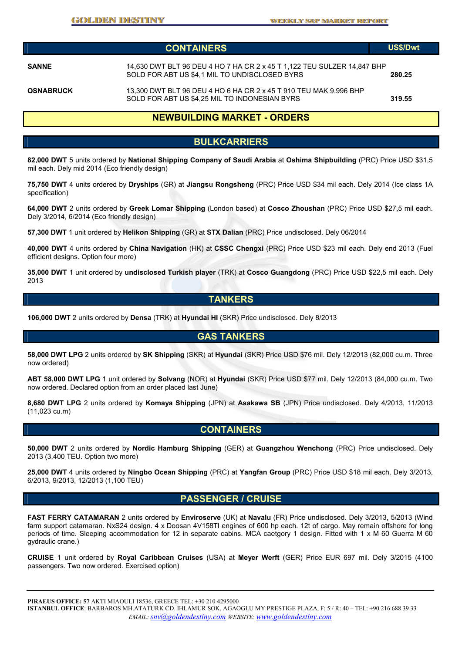|                  | <b>CONTAINERS</b>                                                                                                        | <b>US\$/Dwt</b> |
|------------------|--------------------------------------------------------------------------------------------------------------------------|-----------------|
| <b>SANNE</b>     | 14,630 DWT BLT 96 DEU 4 HO 7 HA CR 2 x 45 T 1,122 TEU SULZER 14,847 BHP<br>SOLD FOR ABT US \$4,1 MIL TO UNDISCLOSED BYRS | 280.25          |
| <b>OSNABRUCK</b> | 13,300 DWT BLT 96 DEU 4 HO 6 HA CR 2 x 45 T 910 TEU MAK 9,996 BHP<br>SOLD FOR ABT US \$4,25 MIL TO INDONESIAN BYRS       | 319.55          |

#### **NEWBUILDING MARKET - ORDERS**

#### **BULKCARRIERS**

**82,000 DWT** 5 units ordered by **National Shipping Company of Saudi Arabia** at **Oshima Shipbuilding** (PRC) Price USD \$31,5 mil each. Dely mid 2014 (Eco friendly design)

**75,750 DWT** 4 units ordered by **Dryships** (GR) at **Jiangsu Rongsheng** (PRC) Price USD \$34 mil each. Dely 2014 (Ice class 1A specification)

**64,000 DWT** 2 units ordered by **Greek Lomar Shipping** (London based) at **Cosco Zhoushan** (PRC) Price USD \$27,5 mil each. Dely 3/2014, 6/2014 (Eco friendly design)

**57,300 DWT** 1 unit ordered by **Helikon Shipping** (GR) at **STX Dalian** (PRC) Price undisclosed. Dely 06/2014

**40,000 DWT** 4 units ordered by **China Navigation** (HK) at **CSSC Chengxi** (PRC) Price USD \$23 mil each. Dely end 2013 (Fuel efficient designs. Option four more)

**35,000 DWT** 1 unit ordered by **undisclosed Turkish player** (TRK) at **Cosco Guangdong** (PRC) Price USD \$22,5 mil each. Dely 2013

### **TANKERS**

**106,000 DWT** 2 units ordered by **Densa** (TRK) at **Hyundai HI** (SKR) Price undisclosed. Dely 8/2013

### **GAS TANKERS**

**58,000 DWT LPG** 2 units ordered by **SK Shipping** (SKR) at **Hyundai** (SKR) Price USD \$76 mil. Dely 12/2013 (82,000 cu.m. Three now ordered)

**ABT 58,000 DWT LPG** 1 unit ordered by **Solvang** (NOR) at **Hyundai** (SKR) Price USD \$77 mil. Dely 12/2013 (84,000 cu.m. Two now ordered. Declared option from an order placed last June)

**8,680 DWT LPG** 2 units ordered by **Komaya Shipping** (JPN) at **Asakawa SB** (JPN) Price undisclosed. Dely 4/2013, 11/2013 (11,023 cu.m)

#### **CONTAINERS**

**50,000 DWT** 2 units ordered by **Nordic Hamburg Shipping** (GER) at **Guangzhou Wenchong** (PRC) Price undisclosed. Dely 2013 (3,400 TEU. Option two more)

**25,000 DWT** 4 units ordered by **Ningbo Ocean Shipping** (PRC) at **Yangfan Group** (PRC) Price USD \$18 mil each. Dely 3/2013, 6/2013, 9/2013, 12/2013 (1,100 TEU)

#### **PASSENGER / CRUISE**

**FAST FERRY CATAMARAN** 2 units ordered by **Enviroserve** (UK) at **Navalu** (FR) Price undisclosed. Dely 3/2013, 5/2013 (Wind farm support catamaran. NxS24 design. 4 x Doosan 4V158TI engines of 600 hp each. 12t of cargo. May remain offshore for long periods of time. Sleeping accommodation for 12 in separate cabins. MCA caetgory 1 design. Fitted with 1 x M 60 Guerra M 60 gydraulic crane.)

**CRUISE** 1 unit ordered by **Royal Caribbean Cruises** (USA) at **Meyer Werft** (GER) Price EUR 697 mil. Dely 3/2015 (4100 passengers. Two now ordered. Exercised option)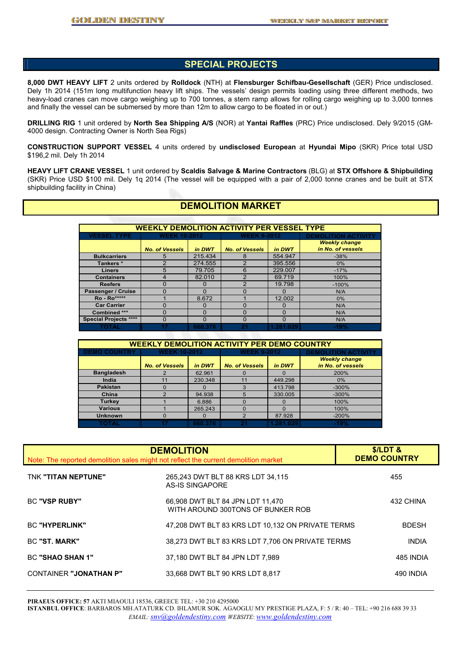## **SPECIAL PROJECTS**

**8,000 DWT HEAVY LIFT** 2 units ordered by **Rolldock** (NTH) at **Flensburger Schifbau-Gesellschaft** (GER) Price undisclosed. Dely 1h 2014 (151m long multifunction heavy lift ships. The vessels' design permits loading using three different methods, two heavy-load cranes can move cargo weighing up to 700 tonnes, a stern ramp allows for rolling cargo weighing up to 3,000 tonnes and finally the vessel can be submersed by more than 12m to allow cargo to be floated in or out.)

**DRILLING RIG** 1 unit ordered by **North Sea Shipping A/S** (NOR) at **Yantai Raffles** (PRC) Price undisclosed. Dely 9/2015 (GM-4000 design. Contracting Owner is North Sea Rigs)

**CONSTRUCTION SUPPORT VESSEL** 4 units ordered by **undisclosed European** at **Hyundai Mipo** (SKR) Price total USD \$196,2 mil. Dely 1h 2014

**HEAVY LIFT CRANE VESSEL** 1 unit ordered by **Scaldis Salvage & Marine Contractors** (BLG) at **STX Offshore & Shipbuilding**  (SKR) Price USD \$100 mil. Dely 1q 2014 (The vessel will be equipped with a pair of 2,000 tonne cranes and be built at STX shipbuilding facility in China)

## **DEMOLITION MARKET**

| <b>WEEKLY DEMOLITION ACTIVITY PER VESSEL TYPE</b> |                       |         |                                 |              |                            |  |  |  |
|---------------------------------------------------|-----------------------|---------|---------------------------------|--------------|----------------------------|--|--|--|
| <b>VESSEL TYPE</b>                                | <b>WEEK 10-2012</b>   |         | <b>WEEK 9-2012</b>              |              | <b>DEMOLITION ACTIVITY</b> |  |  |  |
|                                                   |                       |         |                                 |              | <b>Weekly change</b>       |  |  |  |
|                                                   | <b>No. of Vessels</b> | in DWT  | in DWT<br><b>No. of Vessels</b> |              | in No. of vessels          |  |  |  |
| <b>Bulkcarriers</b>                               | 5                     | 215.434 | 8                               | 554.947      | $-38%$                     |  |  |  |
| Tankers *                                         | っ                     | 274,555 | 2                               | 395.556      | $0\%$                      |  |  |  |
| <b>Liners</b>                                     | 5                     | 79.705  | 6                               | 229.007      | $-17%$                     |  |  |  |
| <b>Containers</b>                                 | 4                     | 82.010  | $\mathcal{P}$                   | 69.719       | 100%                       |  |  |  |
| <b>Reefers</b>                                    | 0                     | O       | 2                               | 19.798       | $-100%$                    |  |  |  |
| Passenger / Cruise                                | O                     | O       |                                 | $\Omega$     | N/A                        |  |  |  |
| <b>Ro</b> - Ro*****                               |                       | 8.672   |                                 | 12.002       | $0\%$                      |  |  |  |
| <b>Car Carrier</b>                                | n                     | O       |                                 | $\Omega$     | N/A                        |  |  |  |
| Combined ***                                      | U                     | O       |                                 | <sup>0</sup> | N/A                        |  |  |  |
| <b>Special Projects ****</b>                      | 0                     | 0       | Ω                               | 0            | N/A                        |  |  |  |
| TOTAL                                             | 17                    | 660.376 | 21                              | 1.281.029    | $-19%$                     |  |  |  |

| <b>WEEKLY DEMOLITION ACTIVITY PER DEMO COUNTRY</b> |                       |         |                       |           |                            |  |  |  |
|----------------------------------------------------|-----------------------|---------|-----------------------|-----------|----------------------------|--|--|--|
| <b>DEMO COUNTRY</b>                                | <b>WEEK 10-2012</b>   |         | <b>WEEK 9-2012</b>    |           | <b>DEMOLITION ACTIVITY</b> |  |  |  |
|                                                    |                       |         |                       |           | <b>Weekly change</b>       |  |  |  |
|                                                    | <b>No. of Vessels</b> | in DWT  | <b>No. of Vessels</b> | in DWT    | in No. of vessels          |  |  |  |
| <b>Bangladesh</b>                                  |                       | 62.961  |                       | O         | 200%                       |  |  |  |
| India                                              | 11                    | 230.348 | 11                    | 449.298   | 0%                         |  |  |  |
| <b>Pakistan</b>                                    |                       |         |                       | 413.798   | $-300%$                    |  |  |  |
| China                                              |                       | 94.938  | 5                     | 330.005   | $-300%$                    |  |  |  |
| <b>Turkey</b>                                      |                       | 6.886   |                       | $\Omega$  | 100%                       |  |  |  |
| <b>Various</b>                                     |                       | 265.243 |                       | O         | 100%                       |  |  |  |
| <b>Unknown</b>                                     | O                     |         | っ                     | 87.928    | $-200%$                    |  |  |  |
| TOTAL                                              |                       | 660.376 |                       | 1.281.029 | $-19%$                     |  |  |  |

| <b>DEMOLITION</b><br>Note: The reported demolition sales might not reflect the current demolition market | <b>S/LDT &amp;</b><br><b>DEMO COUNTRY</b>                             |              |
|----------------------------------------------------------------------------------------------------------|-----------------------------------------------------------------------|--------------|
| TNK "TITAN NEPTUNE"                                                                                      | 265,243 DWT BLT 88 KRS LDT 34,115<br>AS-IS SINGAPORE                  | 455          |
| <b>BC "VSP RUBY"</b>                                                                                     | 66,908 DWT BLT 84 JPN LDT 11,470<br>WITH AROUND 300TONS OF BUNKER ROB | 432 CHINA    |
| <b>BC "HYPERLINK"</b>                                                                                    | 47,208 DWT BLT 83 KRS LDT 10,132 ON PRIVATE TERMS                     | <b>BDESH</b> |
| BC "ST. MARK"                                                                                            | 38,273 DWT BLT 83 KRS LDT 7,706 ON PRIVATE TERMS                      | <b>INDIA</b> |
| <b>BC "SHAO SHAN 1"</b>                                                                                  | 37,180 DWT BLT 84 JPN LDT 7,989                                       | 485 INDIA    |
| <b>CONTAINER "JONATHAN P"</b>                                                                            | 33.668 DWT BLT 90 KRS LDT 8.817                                       | 490 INDIA    |

**PIRAEUS OFFICE: 57** AKTI MIAOULI 18536, GREECE TEL: +30 210 4295000

**ISTANBUL OFFICE**: BARBAROS MH.ATATURK CD. IHLAMUR SOK. AGAOGLU MY PRESTIGE PLAZA, F: 5 / R: 40 – TEL: +90 216 688 39 33 *EMAIL: snv@goldendestiny.com WEBSITE*: *www.goldendestiny.com*